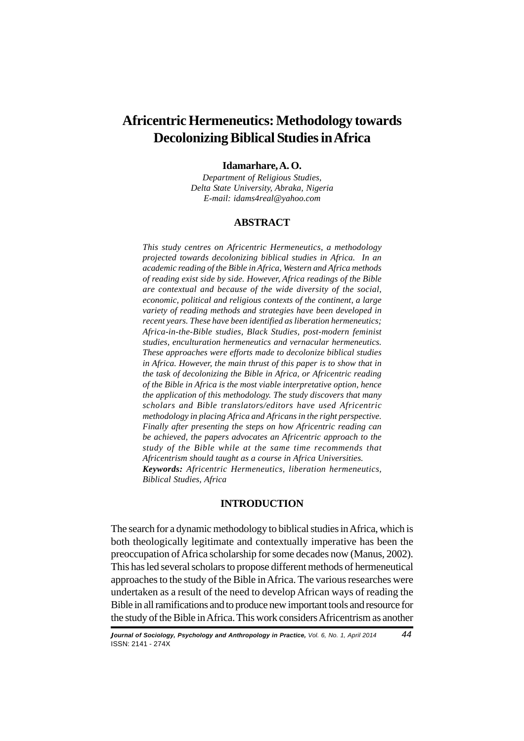# **Africentric Hermeneutics: Methodology towards Decolonizing Biblical Studies in Africa**

#### **Idamarhare, A. O.**

*Department of Religious Studies, Delta State University, Abraka, Nigeria E-mail: idams4real@yahoo.com*

# **ABSTRACT**

*This study centres on Africentric Hermeneutics, a methodology projected towards decolonizing biblical studies in Africa. In an academic reading of the Bible in Africa, Western and Africa methods of reading exist side by side. However, Africa readings of the Bible are contextual and because of the wide diversity of the social, economic, political and religious contexts of the continent, a large variety of reading methods and strategies have been developed in recent years. These have been identified as liberation hermeneutics; Africa-in-the-Bible studies, Black Studies, post-modern feminist studies, enculturation hermeneutics and vernacular hermeneutics. These approaches were efforts made to decolonize biblical studies in Africa. However, the main thrust of this paper is to show that in the task of decolonizing the Bible in Africa, or Africentric reading of the Bible in Africa is the most viable interpretative option, hence the application of this methodology. The study discovers that many scholars and Bible translators/editors have used Africentric methodology in placing Africa and Africans in the right perspective. Finally after presenting the steps on how Africentric reading can be achieved, the papers advocates an Africentric approach to the study of the Bible while at the same time recommends that Africentrism should taught as a course in Africa Universities. Keywords: Africentric Hermeneutics, liberation hermeneutics, Biblical Studies, Africa*

#### **INTRODUCTION**

The search for a dynamic methodology to biblical studies in Africa, which is both theologically legitimate and contextually imperative has been the preoccupation of Africa scholarship for some decades now (Manus, 2002). This has led several scholars to propose different methods of hermeneutical approaches to the study of the Bible in Africa. The various researches were undertaken as a result of the need to develop African ways of reading the Bible in all ramifications and to produce new important tools and resource for the study of the Bible in Africa. This work considers Africentrism as another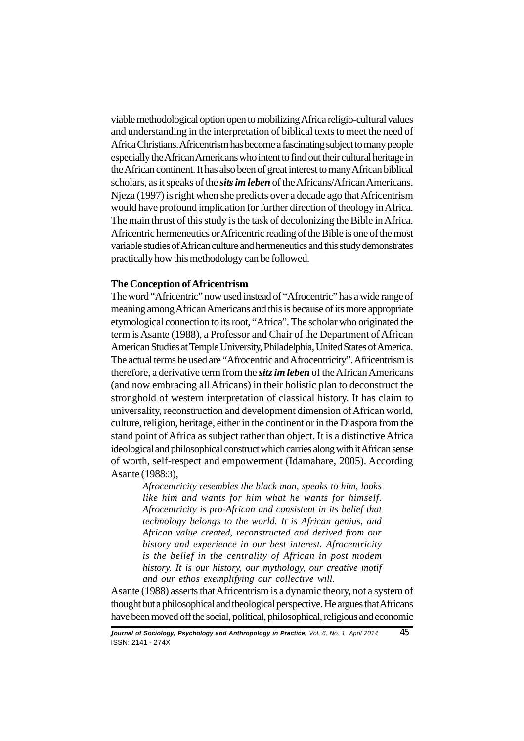viable methodological option open to mobilizing Africa religio-cultural values and understanding in the interpretation of biblical texts to meet the need of Africa Christians. Africentrism has become a fascinating subject to many people especially the African Americans who intent to find out their cultural heritage in the African continent. It has also been of great interest to many African biblical scholars, as it speaks of the *sits im leben* of the Africans/African Americans. Njeza (1997) is right when she predicts over a decade ago that Africentrism would have profound implication for further direction of theology in Africa. The main thrust of this study is the task of decolonizing the Bible in Africa. Africentric hermeneutics or Africentric reading of the Bible is one of the most variable studies of African culture and hermeneutics and this study demonstrates practically how this methodology can be followed.

# **The Conception of Africentrism**

The word "Africentric" now used instead of "Afrocentric" has a wide range of meaning among African Americans and this is because of its more appropriate etymological connection to its root, "Africa". The scholar who originated the term is Asante (1988), a Professor and Chair of the Department of African American Studies at Temple University, Philadelphia, United States of America. The actual terms he used are "Afrocentric and Afrocentricity". Africentrism is therefore, a derivative term from the *sitz im leben* of the African Americans (and now embracing all Africans) in their holistic plan to deconstruct the stronghold of western interpretation of classical history. It has claim to universality, reconstruction and development dimension of African world, culture, religion, heritage, either in the continent or in the Diaspora from the stand point of Africa as subject rather than object. It is a distinctive Africa ideological and philosophical construct which carries along with it African sense of worth, self-respect and empowerment (Idamahare, 2005). According Asante (1988:3),

> *Afrocentricity resembles the black man, speaks to him, looks like him and wants for him what he wants for himself. Afrocentricity is pro-African and consistent in its belief that technology belongs to the world. It is African genius, and African value created, reconstructed and derived from our history and experience in our best interest. Afrocentricity is the belief in the centrality of African in post modem history. It is our history, our mythology, our creative motif and our ethos exemplifying our collective will.*

Asante (1988) asserts that Africentrism is a dynamic theory, not a system of thought but a philosophical and theological perspective. He argues that Africans have been moved off the social, political, philosophical, religious and economic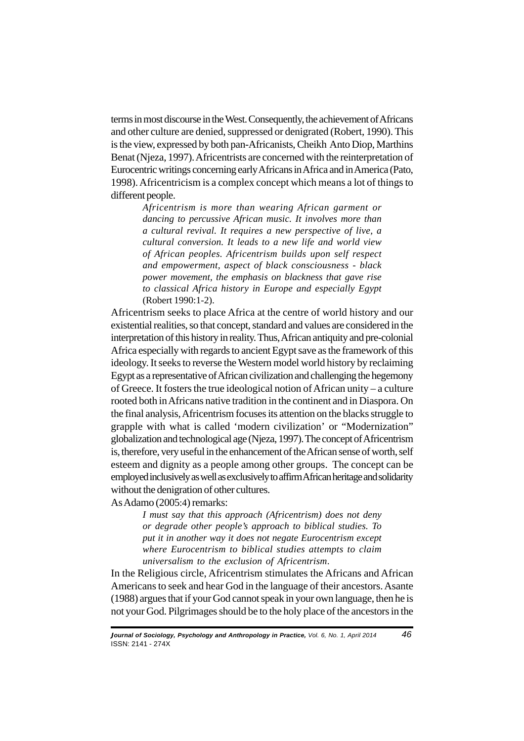terms in most discourse in the West. Consequently, the achievement of Africans and other culture are denied, suppressed or denigrated (Robert, 1990). This is the view, expressed by both pan-Africanists, Cheikh Anto Diop, Marthins Benat (Njeza, 1997). Africentrists are concerned with the reinterpretation of Eurocentric writings concerning early Africans in Africa and in America (Pato, 1998). Africentricism is a complex concept which means a lot of things to different people.

> *Africentrism is more than wearing African garment or dancing to percussive African music. It involves more than a cultural revival. It requires a new perspective of live, a cultural conversion. It leads to a new life and world view of African peoples. Africentrism builds upon self respect and empowerment, aspect of black consciousness - black power movement, the emphasis on blackness that gave rise to classical Africa history in Europe and especially Egypt* (Robert 1990:1-2).

Africentrism seeks to place Africa at the centre of world history and our existential realities, so that concept, standard and values are considered in the interpretation of this history in reality. Thus, African antiquity and pre-colonial Africa especially with regards to ancient Egypt save as the framework of this ideology. It seeks to reverse the Western model world history by reclaiming Egypt as a representative of African civilization and challenging the hegemony of Greece. It fosters the true ideological notion of African unity – a culture rooted both in Africans native tradition in the continent and in Diaspora. On the final analysis, Africentrism focuses its attention on the blacks struggle to grapple with what is called 'modern civilization' or "Modernization" globalization and technological age (Njeza, 1997). The concept of Africentrism is, therefore, very useful in the enhancement of the African sense of worth, self esteem and dignity as a people among other groups. The concept can be employed inclusively as well as exclusively to affirm African heritage and solidarity without the denigration of other cultures.

As Adamo (2005:4) remarks:

*I must say that this approach (Africentrism) does not deny or degrade other people's approach to biblical studies. To put it in another way it does not negate Eurocentrism except where Eurocentrism to biblical studies attempts to claim universalism to the exclusion of Africentrism*.

In the Religious circle, Africentrism stimulates the Africans and African Americans to seek and hear God in the language of their ancestors. Asante (1988) argues that if your God cannot speak in your own language, then he is not your God. Pilgrimages should be to the holy place of the ancestors in the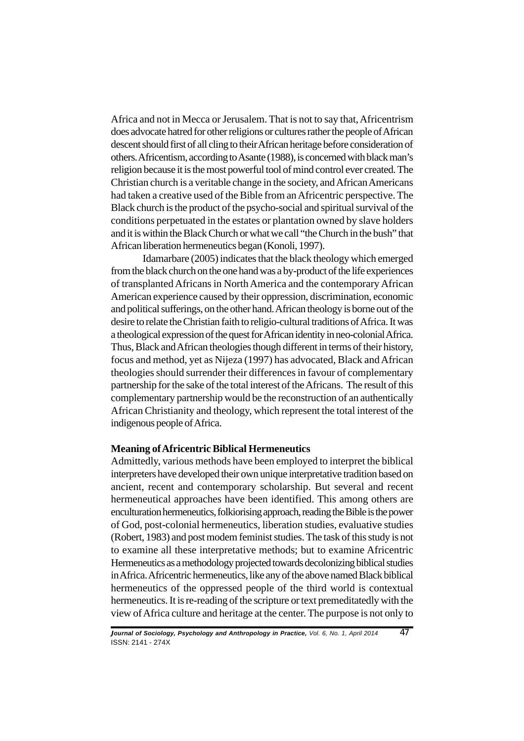Africa and not in Mecca or Jerusalem. That is not to say that, Africentrism does advocate hatred for other religions or cultures rather the people of African descent should first of all cling to their African heritage before consideration of others. Africentism, according to Asante (1988), is concerned with black man's religion because it is the most powerful tool of mind control ever created. The Christian church is a veritable change in the society, and African Americans had taken a creative used of the Bible from an Africentric perspective. The Black church is the product of the psycho-social and spiritual survival of the conditions perpetuated in the estates or plantation owned by slave holders and it is within the Black Church or what we call "the Church in the bush" that African liberation hermeneutics began (Konoli, 1997).

Idamarbare (2005) indicates that the black theology which emerged from the black church on the one hand was a by-product of the life experiences of transplanted Africans in North America and the contemporary African American experience caused by their oppression, discrimination, economic and political sufferings, on the other hand. African theology is borne out of the desire to relate the Christian faith to religio-cultural traditions of Africa. It was a theological expression of the quest for African identity in neo-colonial Africa. Thus, Black and African theologies though different in terms of their history, focus and method, yet as Nijeza (1997) has advocated, Black and African theologies should surrender their differences in favour of complementary partnership for the sake of the total interest of the Africans. The result of this complementary partnership would be the reconstruction of an authentically African Christianity and theology, which represent the total interest of the indigenous people of Africa.

## **Meaning of Africentric Biblical Hermeneutics**

Admittedly, various methods have been employed to interpret the biblical interpreters have developed their own unique interpretative tradition based on ancient, recent and contemporary scholarship. But several and recent hermeneutical approaches have been identified. This among others are enculturation hermeneutics, folkiorising approach, reading the Bible is the power of God, post-colonial hermeneutics, liberation studies, evaluative studies (Robert, 1983) and post modem feminist studies. The task of this study is not to examine all these interpretative methods; but to examine Africentric Hermeneutics as a methodology projected towards decolonizing biblical studies in Africa. Africentric hermeneutics, like any of the above named Black biblical hermeneutics of the oppressed people of the third world is contextual hermeneutics. It is re-reading of the scripture or text premeditatedly with the view of Africa culture and heritage at the center. The purpose is not only to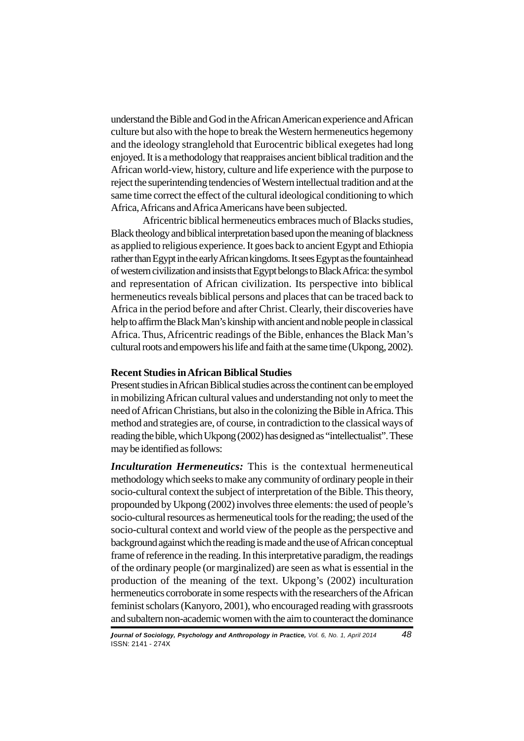understand the Bible and God in the African American experience and African culture but also with the hope to break the Western hermeneutics hegemony and the ideology stranglehold that Eurocentric biblical exegetes had long enjoyed. It is a methodology that reappraises ancient biblical tradition and the African world-view, history, culture and life experience with the purpose to reject the superintending tendencies of Western intellectual tradition and at the same time correct the effect of the cultural ideological conditioning to which Africa, Africans and Africa Americans have been subjected.

Africentric biblical hermeneutics embraces much of Blacks studies, Black theology and biblical interpretation based upon the meaning of blackness as applied to religious experience. It goes back to ancient Egypt and Ethiopia rather than Egypt in the early African kingdoms. It sees Egypt as the fountainhead of western civilization and insists that Egypt belongs to Black Africa: the symbol and representation of African civilization. Its perspective into biblical hermeneutics reveals biblical persons and places that can be traced back to Africa in the period before and after Christ. Clearly, their discoveries have help to affirm the Black Man's kinship with ancient and noble people in classical Africa. Thus, Africentric readings of the Bible, enhances the Black Man's cultural roots and empowers his life and faith at the same time (Ukpong, 2002).

# **Recent Studies in African Biblical Studies**

Present studies in African Biblical studies across the continent can be employed in mobilizing African cultural values and understanding not only to meet the need of African Christians, but also in the colonizing the Bible in Africa. This method and strategies are, of course, in contradiction to the classical ways of reading the bible, which Ukpong (2002) has designed as "intellectualist". These may be identified as follows:

*Inculturation Hermeneutics:* This is the contextual hermeneutical methodology which seeks to make any community of ordinary people in their socio-cultural context the subject of interpretation of the Bible. This theory, propounded by Ukpong (2002) involves three elements: the used of people's socio-cultural resources as hermeneutical tools for the reading; the used of the socio-cultural context and world view of the people as the perspective and background against which the reading is made and the use of African conceptual frame of reference in the reading. In this interpretative paradigm, the readings of the ordinary people (or marginalized) are seen as what is essential in the production of the meaning of the text. Ukpong's (2002) inculturation hermeneutics corroborate in some respects with the researchers of the African feminist scholars (Kanyoro, 2001), who encouraged reading with grassroots and subaltern non-academic women with the aim to counteract the dominance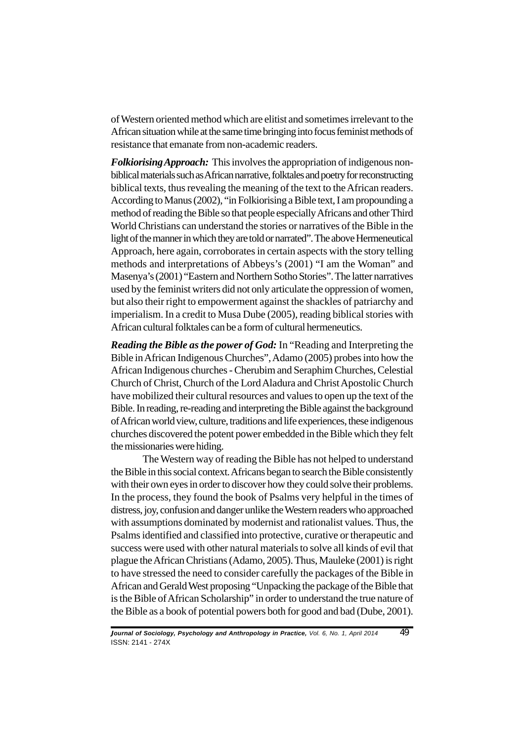of Western oriented method which are elitist and sometimes irrelevant to the African situation while at the same time bringing into focus feminist methods of resistance that emanate from non-academic readers.

*Folkiorising Approach:* This involves the appropriation of indigenous nonbiblical materials such as African narrative, folktales and poetry for reconstructing biblical texts, thus revealing the meaning of the text to the African readers. According to Manus (2002), "in Folkiorising a Bible text, I am propounding a method of reading the Bible so that people especially Africans and other Third World Christians can understand the stories or narratives of the Bible in the light of the manner in which they are told or narrated". The above Hermeneutical Approach, here again, corroborates in certain aspects with the story telling methods and interpretations of Abbeys's (2001) "I am the Woman" and Masenya's (2001) "Eastern and Northern Sotho Stories". The latter narratives used by the feminist writers did not only articulate the oppression of women, but also their right to empowerment against the shackles of patriarchy and imperialism. In a credit to Musa Dube (2005), reading biblical stories with African cultural folktales can be a form of cultural hermeneutics.

*Reading the Bible as the power of God:* In "Reading and Interpreting the Bible in African Indigenous Churches", Adamo (2005) probes into how the African Indigenous churches - Cherubim and Seraphim Churches, Celestial Church of Christ, Church of the Lord Aladura and Christ Apostolic Church have mobilized their cultural resources and values to open up the text of the Bible. In reading, re-reading and interpreting the Bible against the background of African world view, culture, traditions and life experiences, these indigenous churches discovered the potent power embedded in the Bible which they felt the missionaries were hiding.

The Western way of reading the Bible has not helped to understand the Bible in this social context. Africans began to search the Bible consistently with their own eyes in order to discover how they could solve their problems. In the process, they found the book of Psalms very helpful in the times of distress, joy, confusion and danger unlike the Western readers who approached with assumptions dominated by modernist and rationalist values. Thus, the Psalms identified and classified into protective, curative or therapeutic and success were used with other natural materials to solve all kinds of evil that plague the African Christians (Adamo, 2005). Thus, Mauleke (2001) is right to have stressed the need to consider carefully the packages of the Bible in African and Gerald West proposing "Unpacking the package of the Bible that is the Bible of African Scholarship" in order to understand the true nature of the Bible as a book of potential powers both for good and bad (Dube, 2001).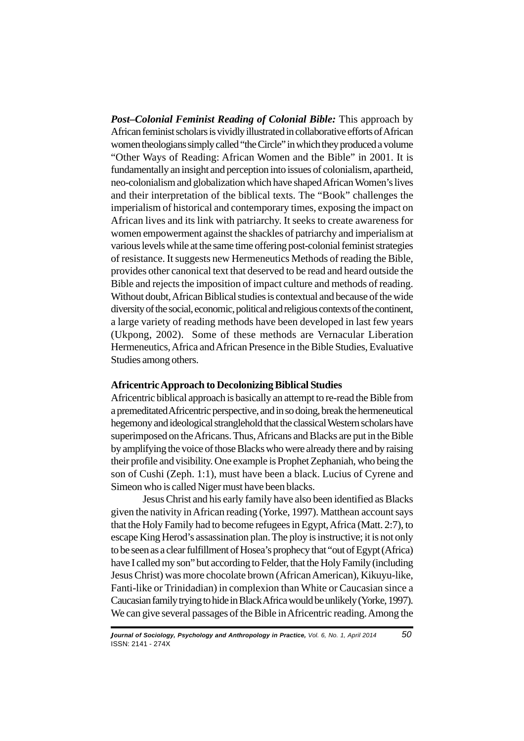*Post–Colonial Feminist Reading of Colonial Bible:* This approach by African feminist scholars is vividly illustrated in collaborative efforts of African women theologians simply called "the Circle" in which they produced a volume "Other Ways of Reading: African Women and the Bible" in 2001. It is fundamentally an insight and perception into issues of colonialism, apartheid, neo-colonialism and globalization which have shaped African Women's lives and their interpretation of the biblical texts. The "Book" challenges the imperialism of historical and contemporary times, exposing the impact on African lives and its link with patriarchy. It seeks to create awareness for women empowerment against the shackles of patriarchy and imperialism at various levels while at the same time offering post-colonial feminist strategies of resistance. It suggests new Hermeneutics Methods of reading the Bible, provides other canonical text that deserved to be read and heard outside the Bible and rejects the imposition of impact culture and methods of reading. Without doubt, African Biblical studies is contextual and because of the wide diversity of the social, economic, political and religious contexts of the continent, a large variety of reading methods have been developed in last few years (Ukpong, 2002). Some of these methods are Vernacular Liberation Hermeneutics, Africa and African Presence in the Bible Studies, Evaluative Studies among others.

## **Africentric Approach to Decolonizing Biblical Studies**

Africentric biblical approach is basically an attempt to re-read the Bible from a premeditated Africentric perspective, and in so doing, break the hermeneutical hegemony and ideological stranglehold that the classical Western scholars have superimposed on the Africans. Thus, Africans and Blacks are put in the Bible by amplifying the voice of those Blacks who were already there and by raising their profile and visibility. One example is Prophet Zephaniah, who being the son of Cushi (Zeph. 1:1), must have been a black. Lucius of Cyrene and Simeon who is called Niger must have been blacks.

Jesus Christ and his early family have also been identified as Blacks given the nativity in African reading (Yorke, 1997). Matthean account says that the Holy Family had to become refugees in Egypt, Africa (Matt. 2:7), to escape King Herod's assassination plan. The ploy is instructive; it is not only to be seen as a clear fulfillment of Hosea's prophecy that "out of Egypt (Africa) have I called my son" but according to Felder, that the Holy Family (including Jesus Christ) was more chocolate brown (African American), Kikuyu-like, Fanti-like or Trinidadian) in complexion than White or Caucasian since a Caucasian family trying to hide in Black Africa would be unlikely (Yorke, 1997). We can give several passages of the Bible in Africentric reading. Among the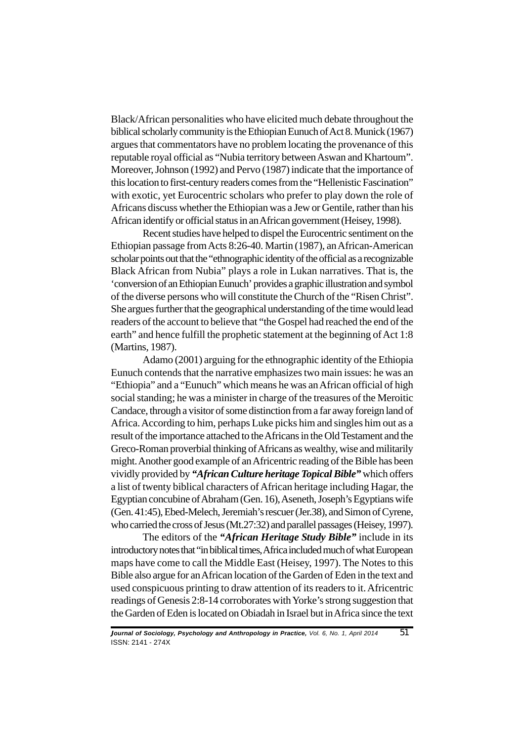Black/African personalities who have elicited much debate throughout the biblical scholarly community is the Ethiopian Eunuch of Act 8. Munick (1967) argues that commentators have no problem locating the provenance of this reputable royal official as "Nubia territory between Aswan and Khartoum". Moreover, Johnson (1992) and Pervo (1987) indicate that the importance of this location to first-century readers comes from the "Hellenistic Fascination" with exotic, yet Eurocentric scholars who prefer to play down the role of Africans discuss whether the Ethiopian was a Jew or Gentile, rather than his African identify or official status in an African government (Heisey, 1998).

Recent studies have helped to dispel the Eurocentric sentiment on the Ethiopian passage from Acts 8:26-40. Martin (1987), an African-American scholar points out that the "ethnographic identity of the official as a recognizable Black African from Nubia" plays a role in Lukan narratives. That is, the 'conversion of an Ethiopian Eunuch' provides a graphic illustration and symbol of the diverse persons who will constitute the Church of the "Risen Christ". She argues further that the geographical understanding of the time would lead readers of the account to believe that "the Gospel had reached the end of the earth" and hence fulfill the prophetic statement at the beginning of Act 1:8 (Martins, 1987).

Adamo (2001) arguing for the ethnographic identity of the Ethiopia Eunuch contends that the narrative emphasizes two main issues: he was an "Ethiopia" and a "Eunuch" which means he was an African official of high social standing; he was a minister in charge of the treasures of the Meroitic Candace, through a visitor of some distinction from a far away foreign land of Africa. According to him, perhaps Luke picks him and singles him out as a result of the importance attached to the Africans in the Old Testament and the Greco-Roman proverbial thinking of Africans as wealthy, wise and militarily might. Another good example of an Africentric reading of the Bible has been vividly provided by *"African Culture heritage Topical Bible"* which offers a list of twenty biblical characters of African heritage including Hagar, the Egyptian concubine of Abraham (Gen. 16), Aseneth, Joseph's Egyptians wife (Gen. 41:45), Ebed-Melech, Jeremiah's rescuer (Jer.38), and Simon of Cyrene, who carried the cross of Jesus (Mt.27:32) and parallel passages (Heisey, 1997).

The editors of the *"African Heritage Study Bible"* include in its introductory notes that "in biblical times, Africa included much of what European maps have come to call the Middle East (Heisey, 1997). The Notes to this Bible also argue for an African location of the Garden of Eden in the text and used conspicuous printing to draw attention of its readers to it. Africentric readings of Genesis 2:8-14 corroborates with Yorke's strong suggestion that the Garden of Eden is located on Obiadah in Israel but in Africa since the text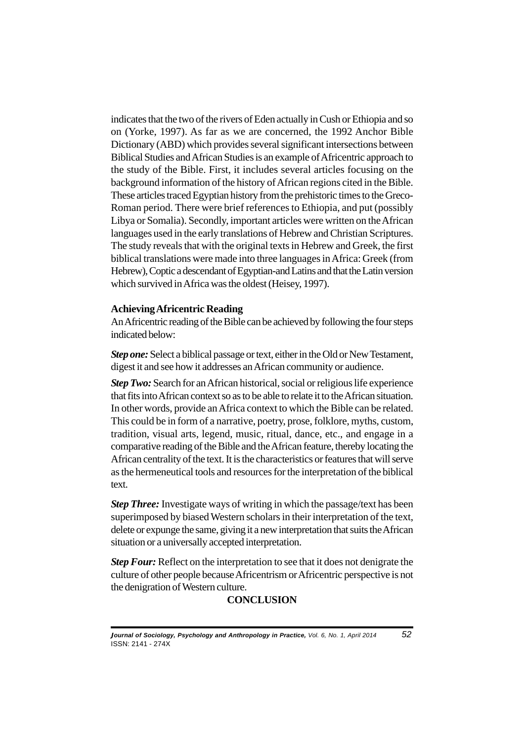indicates that the two of the rivers of Eden actually in Cush or Ethiopia and so on (Yorke, 1997). As far as we are concerned, the 1992 Anchor Bible Dictionary (ABD) which provides several significant intersections between Biblical Studies and African Studies is an example of Africentric approach to the study of the Bible. First, it includes several articles focusing on the background information of the history of African regions cited in the Bible. These articles traced Egyptian history from the prehistoric times to the Greco-Roman period. There were brief references to Ethiopia, and put (possibly Libya or Somalia). Secondly, important articles were written on the African languages used in the early translations of Hebrew and Christian Scriptures. The study reveals that with the original texts in Hebrew and Greek, the first biblical translations were made into three languages in Africa: Greek (from Hebrew), Coptic a descendant of Egyptian-and Latins and that the Latin version which survived in Africa was the oldest (Heisey, 1997).

#### **Achieving Africentric Reading**

An Africentric reading of the Bible can be achieved by following the four steps indicated below:

*Step one:* Select a biblical passage or text, either in the Old or New Testament, digest it and see how it addresses an African community or audience.

*Step Two:* Search for an African historical, social or religious life experience that fits into African context so as to be able to relate it to the African situation. In other words, provide an Africa context to which the Bible can be related. This could be in form of a narrative, poetry, prose, folklore, myths, custom, tradition, visual arts, legend, music, ritual, dance, etc., and engage in a comparative reading of the Bible and the African feature, thereby locating the African centrality of the text. It is the characteristics or features that will serve as the hermeneutical tools and resources for the interpretation of the biblical text.

*Step Three:* Investigate ways of writing in which the passage/text has been superimposed by biased Western scholars in their interpretation of the text, delete or expunge the same, giving it a new interpretation that suits the African situation or a universally accepted interpretation.

*Step Four:* Reflect on the interpretation to see that it does not denigrate the culture of other people because Africentrism or Africentric perspective is not the denigration of Western culture.

# **CONCLUSION**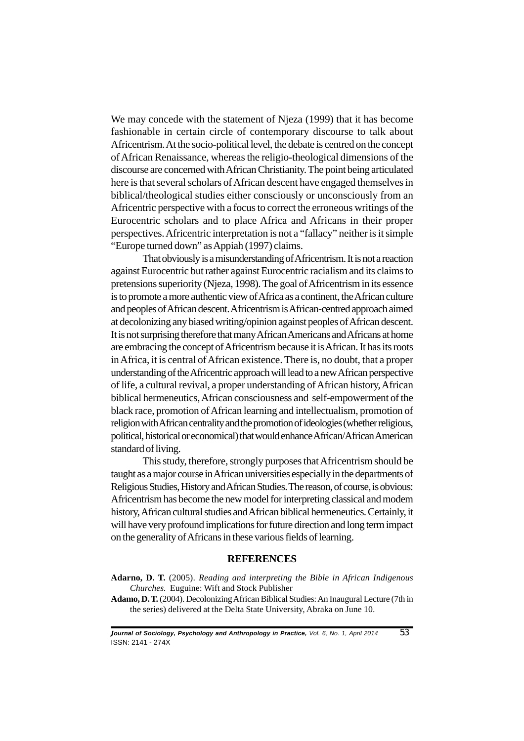We may concede with the statement of Njeza (1999) that it has become fashionable in certain circle of contemporary discourse to talk about Africentrism. At the socio-political level, the debate is centred on the concept of African Renaissance, whereas the religio-theological dimensions of the discourse are concerned with African Christianity. The point being articulated here is that several scholars of African descent have engaged themselves in biblical/theological studies either consciously or unconsciously from an Africentric perspective with a focus to correct the erroneous writings of the Eurocentric scholars and to place Africa and Africans in their proper perspectives. Africentric interpretation is not a "fallacy" neither is it simple "Europe turned down" as Appiah (1997) claims.

That obviously is a misunderstanding of Africentrism. It is not a reaction against Eurocentric but rather against Eurocentric racialism and its claims to pretensions superiority (Njeza, 1998). The goal of Africentrism in its essence is to promote a more authentic view of Africa as a continent, the African culture and peoples of African descent. Africentrism is African-centred approach aimed at decolonizing any biased writing/opinion against peoples of African descent. It is not surprising therefore that many African Americans and Africans at home are embracing the concept of Africentrism because it is African. It has its roots in Africa, it is central of African existence. There is, no doubt, that a proper understanding of the Africentric approach will lead to a new African perspective of life, a cultural revival, a proper understanding of African history, African biblical hermeneutics, African consciousness and self-empowerment of the black race, promotion of African learning and intellectualism, promotion of religion with African centrality and the promotion of ideologies (whether religious, political, historical or economical) that would enhance African/African American standard of living.

This study, therefore, strongly purposes that Africentrism should be taught as a major course in African universities especially in the departments of Religious Studies, History and African Studies. The reason, of course, is obvious: Africentrism has become the new model for interpreting classical and modem history, African cultural studies and African biblical hermeneutics. Certainly, it will have very profound implications for future direction and long term impact on the generality of Africans in these various fields of learning.

# **REFERENCES**

- **Adarno, D. T.** (2005). *Reading and interpreting the Bible in African Indigenous Churches.* Euguine: Wift and Stock Publisher
- **Adamo, D. T.** (2004). Decolonizing African Biblical Studies: An Inaugural Lecture (7th in the series) delivered at the Delta State University, Abraka on June 10.